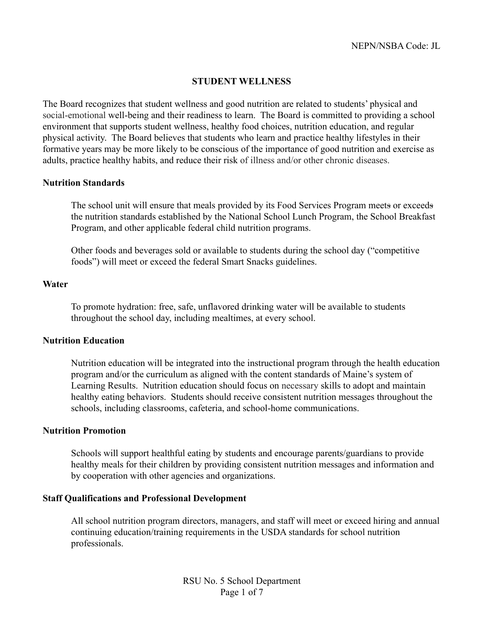### **STUDENT WELLNESS**

The Board recognizes that student wellness and good nutrition are related to students' physical and social-emotional well-being and their readiness to learn. The Board is committed to providing a school environment that supports student wellness, healthy food choices, nutrition education, and regular physical activity. The Board believes that students who learn and practice healthy lifestyles in their formative years may be more likely to be conscious of the importance of good nutrition and exercise as adults, practice healthy habits, and reduce their risk of illness and/or other chronic diseases.

### **Nutrition Standards**

The school unit will ensure that meals provided by its Food Services Program meets or exceeds the nutrition standards established by the National School Lunch Program, the School Breakfast Program, and other applicable federal child nutrition programs.

Other foods and beverages sold or available to students during the school day ("competitive foods") will meet or exceed the federal Smart Snacks guidelines.

#### **Water**

To promote hydration: free, safe, unflavored drinking water will be available to students throughout the school day, including mealtimes, at every school.

### **Nutrition Education**

Nutrition education will be integrated into the instructional program through the health education program and/or the curriculum as aligned with the content standards of Maine's system of Learning Results. Nutrition education should focus on necessary skills to adopt and maintain healthy eating behaviors. Students should receive consistent nutrition messages throughout the schools, including classrooms, cafeteria, and school-home communications.

#### **Nutrition Promotion**

Schools will support healthful eating by students and encourage parents/guardians to provide healthy meals for their children by providing consistent nutrition messages and information and by cooperation with other agencies and organizations.

#### **Staff Qualifications and Professional Development**

All school nutrition program directors, managers, and staff will meet or exceed hiring and annual continuing education/training requirements in the USDA standards for school nutrition professionals.

> RSU No. 5 School Department Page 1 of 7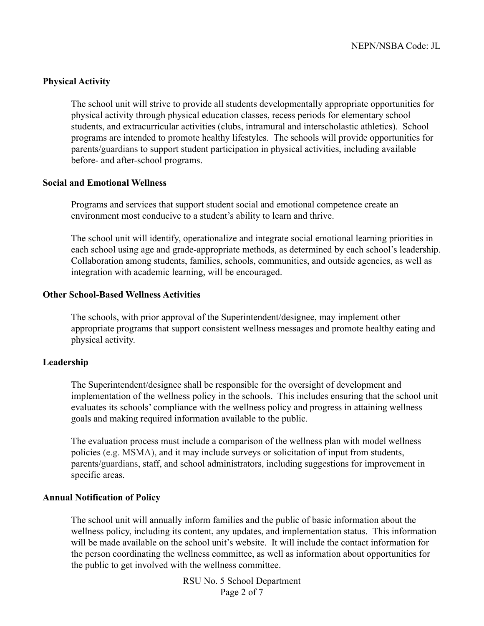## **Physical Activity**

The school unit will strive to provide all students developmentally appropriate opportunities for physical activity through physical education classes, recess periods for elementary school students, and extracurricular activities (clubs, intramural and interscholastic athletics). School programs are intended to promote healthy lifestyles. The schools will provide opportunities for parents/guardians to support student participation in physical activities, including available before- and after-school programs.

## **Social and Emotional Wellness**

Programs and services that support student social and emotional competence create an environment most conducive to a student's ability to learn and thrive.

The school unit will identify, operationalize and integrate social emotional learning priorities in each school using age and grade-appropriate methods, as determined by each school's leadership. Collaboration among students, families, schools, communities, and outside agencies, as well as integration with academic learning, will be encouraged.

### **Other School-Based Wellness Activities**

The schools, with prior approval of the Superintendent/designee, may implement other appropriate programs that support consistent wellness messages and promote healthy eating and physical activity.

#### **Leadership**

The Superintendent/designee shall be responsible for the oversight of development and implementation of the wellness policy in the schools. This includes ensuring that the school unit evaluates its schools' compliance with the wellness policy and progress in attaining wellness goals and making required information available to the public.

The evaluation process must include a comparison of the wellness plan with model wellness policies (e.g. MSMA), and it may include surveys or solicitation of input from students, parents/guardians, staff, and school administrators, including suggestions for improvement in specific areas.

#### **Annual Notification of Policy**

The school unit will annually inform families and the public of basic information about the wellness policy, including its content, any updates, and implementation status. This information will be made available on the school unit's website. It will include the contact information for the person coordinating the wellness committee, as well as information about opportunities for the public to get involved with the wellness committee.

> RSU No. 5 School Department Page 2 of 7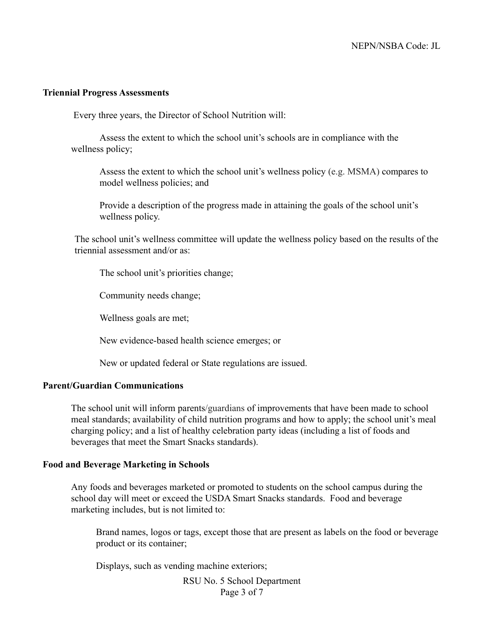#### **Triennial Progress Assessments**

Every three years, the Director of School Nutrition will:

Assess the extent to which the school unit's schools are in compliance with the wellness policy;

Assess the extent to which the school unit's wellness policy (e.g. MSMA) compares to model wellness policies; and

Provide a description of the progress made in attaining the goals of the school unit's wellness policy.

The school unit's wellness committee will update the wellness policy based on the results of the triennial assessment and/or as:

The school unit's priorities change;

Community needs change;

Wellness goals are met;

New evidence-based health science emerges; or

New or updated federal or State regulations are issued.

### **Parent/Guardian Communications**

The school unit will inform parents/guardians of improvements that have been made to school meal standards; availability of child nutrition programs and how to apply; the school unit's meal charging policy; and a list of healthy celebration party ideas (including a list of foods and beverages that meet the Smart Snacks standards).

#### **Food and Beverage Marketing in Schools**

Any foods and beverages marketed or promoted to students on the school campus during the school day will meet or exceed the USDA Smart Snacks standards. Food and beverage marketing includes, but is not limited to:

Brand names, logos or tags, except those that are present as labels on the food or beverage product or its container;

Displays, such as vending machine exteriors;

RSU No. 5 School Department Page 3 of 7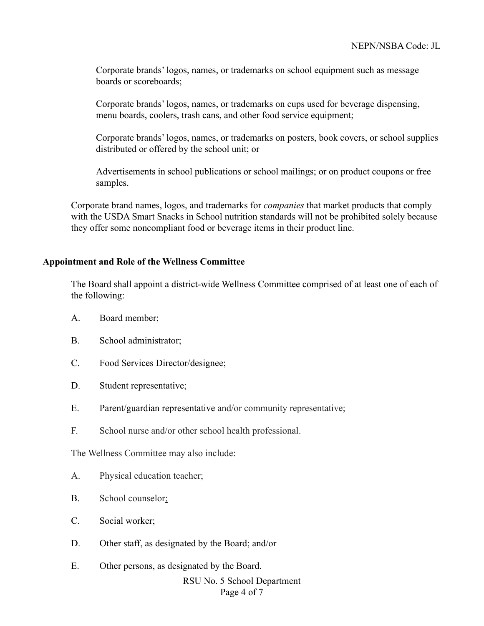Corporate brands' logos, names, or trademarks on school equipment such as message boards or scoreboards;

Corporate brands' logos, names, or trademarks on cups used for beverage dispensing, menu boards, coolers, trash cans, and other food service equipment;

Corporate brands' logos, names, or trademarks on posters, book covers, or school supplies distributed or offered by the school unit; or

Advertisements in school publications or school mailings; or on product coupons or free samples.

Corporate brand names, logos, and trademarks for *companies* that market products that comply with the USDA Smart Snacks in School nutrition standards will not be prohibited solely because they offer some noncompliant food or beverage items in their product line.

### **Appointment and Role of the Wellness Committee**

The Board shall appoint a district-wide Wellness Committee comprised of at least one of each of the following:

- A. Board member;
- B. School administrator;
- C. Food Services Director/designee;
- D. Student representative;
- E. Parent/guardian representative and/or community representative;
- F. School nurse and/or other school health professional.

The Wellness Committee may also include:

- A. Physical education teacher;
- B. School counselor;
- C. Social worker;
- D. Other staff, as designated by the Board; and/or
- E. Other persons, as designated by the Board.

RSU No. 5 School Department Page 4 of 7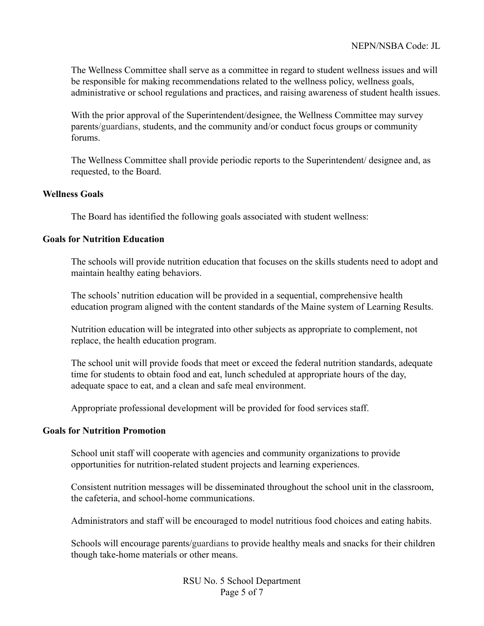The Wellness Committee shall serve as a committee in regard to student wellness issues and will be responsible for making recommendations related to the wellness policy, wellness goals, administrative or school regulations and practices, and raising awareness of student health issues.

With the prior approval of the Superintendent/designee, the Wellness Committee may survey parents/guardians, students, and the community and/or conduct focus groups or community forums.

The Wellness Committee shall provide periodic reports to the Superintendent/ designee and, as requested, to the Board.

## **Wellness Goals**

The Board has identified the following goals associated with student wellness:

## **Goals for Nutrition Education**

The schools will provide nutrition education that focuses on the skills students need to adopt and maintain healthy eating behaviors.

The schools' nutrition education will be provided in a sequential, comprehensive health education program aligned with the content standards of the Maine system of Learning Results.

Nutrition education will be integrated into other subjects as appropriate to complement, not replace, the health education program.

The school unit will provide foods that meet or exceed the federal nutrition standards, adequate time for students to obtain food and eat, lunch scheduled at appropriate hours of the day, adequate space to eat, and a clean and safe meal environment.

Appropriate professional development will be provided for food services staff.

## **Goals for Nutrition Promotion**

School unit staff will cooperate with agencies and community organizations to provide opportunities for nutrition-related student projects and learning experiences.

Consistent nutrition messages will be disseminated throughout the school unit in the classroom, the cafeteria, and school-home communications.

Administrators and staff will be encouraged to model nutritious food choices and eating habits.

Schools will encourage parents/guardians to provide healthy meals and snacks for their children though take-home materials or other means.

> RSU No. 5 School Department Page 5 of 7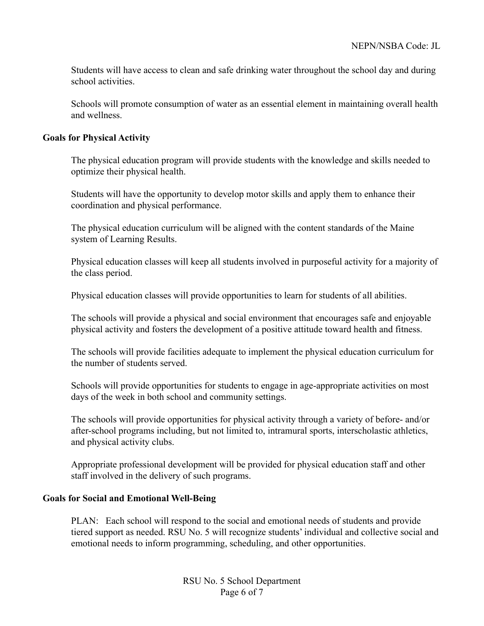Students will have access to clean and safe drinking water throughout the school day and during school activities.

Schools will promote consumption of water as an essential element in maintaining overall health and wellness.

## **Goals for Physical Activity**

The physical education program will provide students with the knowledge and skills needed to optimize their physical health.

Students will have the opportunity to develop motor skills and apply them to enhance their coordination and physical performance.

The physical education curriculum will be aligned with the content standards of the Maine system of Learning Results.

Physical education classes will keep all students involved in purposeful activity for a majority of the class period.

Physical education classes will provide opportunities to learn for students of all abilities.

The schools will provide a physical and social environment that encourages safe and enjoyable physical activity and fosters the development of a positive attitude toward health and fitness.

The schools will provide facilities adequate to implement the physical education curriculum for the number of students served.

Schools will provide opportunities for students to engage in age-appropriate activities on most days of the week in both school and community settings.

The schools will provide opportunities for physical activity through a variety of before- and/or after-school programs including, but not limited to, intramural sports, interscholastic athletics, and physical activity clubs.

Appropriate professional development will be provided for physical education staff and other staff involved in the delivery of such programs.

# **Goals for Social and Emotional Well-Being**

PLAN: Each school will respond to the social and emotional needs of students and provide tiered support as needed. RSU No. 5 will recognize students' individual and collective social and emotional needs to inform programming, scheduling, and other opportunities.